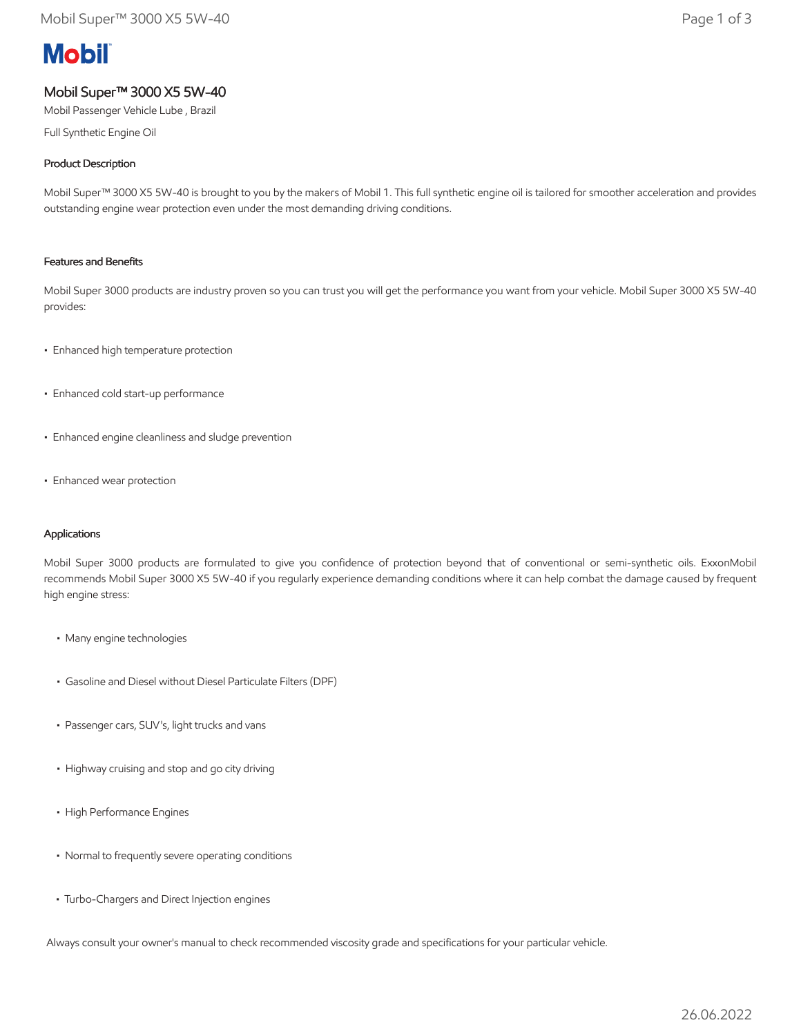# **Mobil**

## Mobil Super™ 3000 X5 5W-40

Mobil Passenger Vehicle Lube , Brazil

Full Synthetic Engine Oil

### Product Description

Mobil Super™ 3000 X5 5W-40 is brought to you by the makers of Mobil 1. This full synthetic engine oil is tailored for smoother acceleration and provides outstanding engine wear protection even under the most demanding driving conditions.

#### Features and Benefits

Mobil Super 3000 products are industry proven so you can trust you will get the performance you want from your vehicle. Mobil Super 3000 X5 5W-40 provides:

- Enhanced high temperature protection
- Enhanced cold start-up performance
- Enhanced engine cleanliness and sludge prevention
- Enhanced wear protection

#### Applications

Mobil Super 3000 products are formulated to give you confidence of protection beyond that of conventional or semi-synthetic oils. ExxonMobil recommends Mobil Super 3000 X5 5W-40 if you regularly experience demanding conditions where it can help combat the damage caused by frequent high engine stress:

- Many engine technologies
- Gasoline and Diesel without Diesel Particulate Filters (DPF)
- Passenger cars, SUV's, light trucks and vans
- Highway cruising and stop and go city driving
- High Performance Engines
- Normal to frequently severe operating conditions
- Turbo-Chargers and Direct Injection engines

Always consult your owner's manual to check recommended viscosity grade and specifications for your particular vehicle.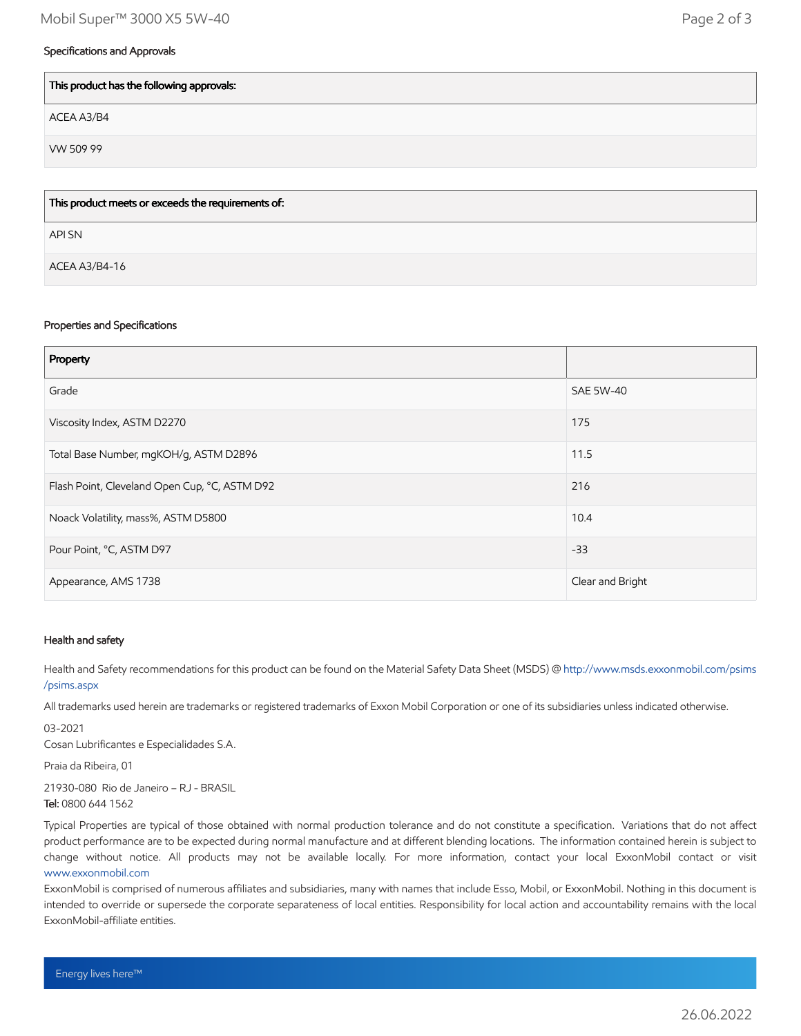#### Specifications and Approvals

| This product has the following approvals:          |
|----------------------------------------------------|
| ACEA A3/B4                                         |
| VW 509 99                                          |
|                                                    |
| This product meets or exceeds the requirements of: |

API SN

ACEA A3/B4-16

#### Properties and Specifications

| Property                                      |                  |
|-----------------------------------------------|------------------|
| Grade                                         | <b>SAE 5W-40</b> |
| Viscosity Index, ASTM D2270                   | 175              |
| Total Base Number, mgKOH/g, ASTM D2896        | 11.5             |
| Flash Point, Cleveland Open Cup, °C, ASTM D92 | 216              |
| Noack Volatility, mass%, ASTM D5800           | 10.4             |
| Pour Point, °C, ASTM D97                      | $-33$            |
| Appearance, AMS 1738                          | Clear and Bright |

#### Health and safety

Health and Safety recommendations for this product can be found on the Material Safety Data Sheet (MSDS) @ [http://www.msds.exxonmobil.com/psims](http://www.msds.exxonmobil.com/psims/psims.aspx) /psims.aspx

All trademarks used herein are trademarks or registered trademarks of Exxon Mobil Corporation or one of its subsidiaries unless indicated otherwise.

03-2021

Cosan Lubrificantes e Especialidades S.A.

Praia da Ribeira, 01

21930-080 Rio de Janeiro – RJ - BRASIL Tel: 0800 644 1562

Typical Properties are typical of those obtained with normal production tolerance and do not constitute a specification. Variations that do not affect product performance are to be expected during normal manufacture and at different blending locations. The information contained herein is subject to change without notice. All products may not be available locally. For more information, contact your local ExxonMobil contact or visit [www.exxonmobil.com](http://www.exxonmobil.com/)

ExxonMobil is comprised of numerous affiliates and subsidiaries, many with names that include Esso, Mobil, or ExxonMobil. Nothing in this document is intended to override or supersede the corporate separateness of local entities. Responsibility for local action and accountability remains with the local ExxonMobil-affiliate entities.